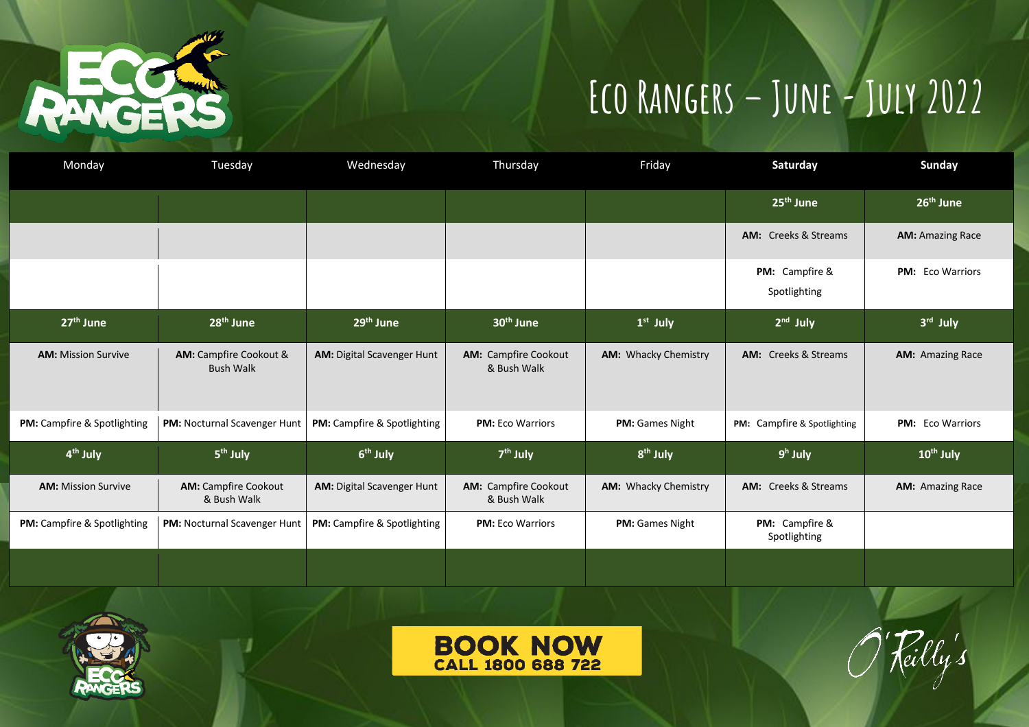

## **Eco Rangers – June-July 2022**

| Monday                             | Tuesday                                           | Wednesday                          | Thursday                                   | Friday                 | Saturday                       | Sunday                  |
|------------------------------------|---------------------------------------------------|------------------------------------|--------------------------------------------|------------------------|--------------------------------|-------------------------|
|                                    |                                                   |                                    |                                            |                        | 25 <sup>th</sup> June          | 26 <sup>th</sup> June   |
|                                    |                                                   |                                    |                                            |                        | <b>AM:</b> Creeks & Streams    | <b>AM: Amazing Race</b> |
|                                    |                                                   |                                    |                                            |                        | PM: Campfire &<br>Spotlighting | PM: Eco Warriors        |
| 27 <sup>th</sup> June              | 28 <sup>th</sup> June                             | 29 <sup>th</sup> June              | 30 <sup>th</sup> June                      | $1st$ July             | $2nd$ July                     | 3rd July                |
| <b>AM: Mission Survive</b>         | <b>AM:</b> Campfire Cookout &<br><b>Bush Walk</b> | <b>AM:</b> Digital Scavenger Hunt  | <b>AM: Campfire Cookout</b><br>& Bush Walk | AM: Whacky Chemistry   | <b>AM:</b> Creeks & Streams    | <b>AM: Amazing Race</b> |
| PM: Campfire & Spotlighting        | <b>PM: Nocturnal Scavenger Hunt</b>               | PM: Campfire & Spotlighting        | <b>PM:</b> Eco Warriors                    | PM: Games Night        | PM: Campfire & Spotlighting    | PM: Eco Warriors        |
| 4 <sup>th</sup> July               | 5 <sup>th</sup> July                              | 6 <sup>th</sup> July               | 7 <sup>th</sup> July                       | 8 <sup>th</sup> July   | $9h$ July                      | 10 <sup>th</sup> July   |
| <b>AM: Mission Survive</b>         | <b>AM: Campfire Cookout</b><br>& Bush Walk        | AM: Digital Scavenger Hunt         | <b>AM: Campfire Cookout</b><br>& Bush Walk | AM: Whacky Chemistry   | <b>AM:</b> Creeks & Streams    | <b>AM: Amazing Race</b> |
| <b>PM:</b> Campfire & Spotlighting | <b>PM: Nocturnal Scavenger Hunt</b>               | <b>PM:</b> Campfire & Spotlighting | <b>PM: Eco Warriors</b>                    | <b>PM:</b> Games Night | PM: Campfire &<br>Spotlighting |                         |
|                                    |                                                   |                                    |                                            |                        |                                |                         |